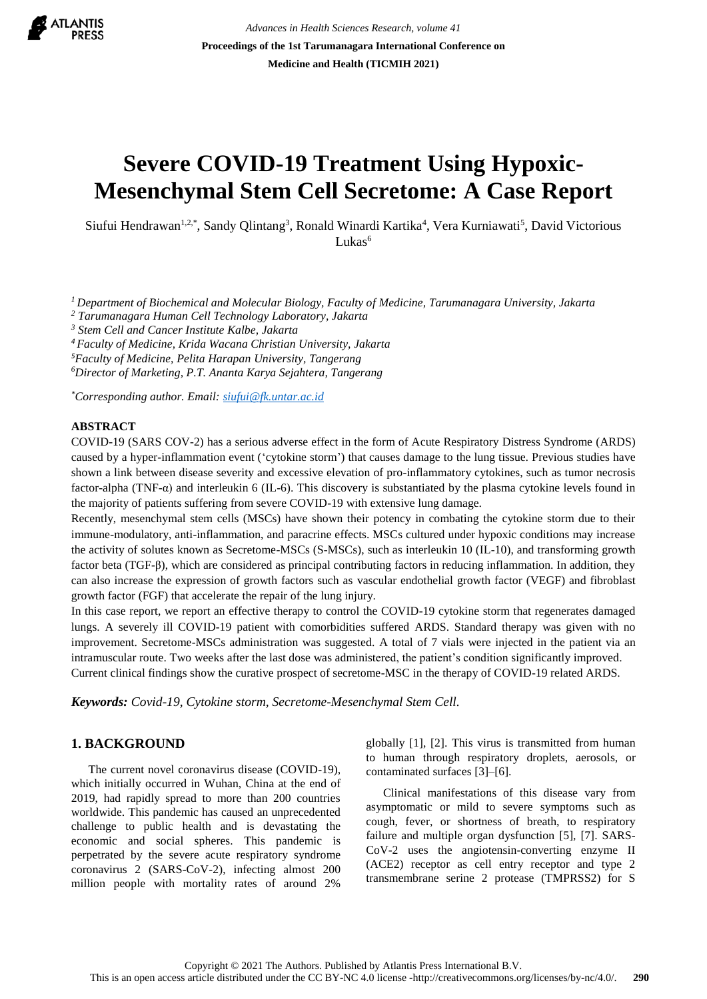

*Advances in Health Sciences Research, volume 41* **Proceedings of the 1st Tarumanagara International Conference on Medicine and Health (TICMIH 2021)**

# **Severe COVID-19 Treatment Using Hypoxic-Mesenchymal Stem Cell Secretome: A Case Report**

Siufui Hendrawan<sup>1,2,\*</sup>, Sandy Qlintang<sup>3</sup>, Ronald Winardi Kartika<sup>4</sup>, Vera Kurniawati<sup>5</sup>, David Victorious Lukas<sup>6</sup>

*<sup>1</sup>Department of Biochemical and Molecular Biology, Faculty of Medicine, Tarumanagara University, Jakarta*

*<sup>2</sup> Tarumanagara Human Cell Technology Laboratory, Jakarta*

*<sup>3</sup> Stem Cell and Cancer Institute Kalbe, Jakarta*

*<sup>4</sup>Faculty of Medicine, Krida Wacana Christian University, Jakarta*

*<sup>5</sup>Faculty of Medicine, Pelita Harapan University, Tangerang*

*<sup>6</sup>Director of Marketing, P.T. Ananta Karya Sejahtera, Tangerang*

*\*Corresponding author. Email[: siufui@fk.untar.ac.id](mailto:siufui@fk.untar.ac.id)*

### **ABSTRACT**

COVID-19 (SARS COV-2) has a serious adverse effect in the form of Acute Respiratory Distress Syndrome (ARDS) caused by a hyper-inflammation event ('cytokine storm') that causes damage to the lung tissue. Previous studies have shown a link between disease severity and excessive elevation of pro-inflammatory cytokines, such as tumor necrosis factor-alpha (TNF-α) and interleukin 6 (IL-6). This discovery is substantiated by the plasma cytokine levels found in the majority of patients suffering from severe COVID-19 with extensive lung damage.

Recently, mesenchymal stem cells (MSCs) have shown their potency in combating the cytokine storm due to their immune-modulatory, anti-inflammation, and paracrine effects. MSCs cultured under hypoxic conditions may increase the activity of solutes known as Secretome-MSCs (S-MSCs), such as interleukin 10 (IL-10), and transforming growth factor beta (TGF-β), which are considered as principal contributing factors in reducing inflammation. In addition, they can also increase the expression of growth factors such as vascular endothelial growth factor (VEGF) and fibroblast growth factor (FGF) that accelerate the repair of the lung injury.

In this case report, we report an effective therapy to control the COVID-19 cytokine storm that regenerates damaged lungs. A severely ill COVID-19 patient with comorbidities suffered ARDS. Standard therapy was given with no improvement. Secretome-MSCs administration was suggested. A total of 7 vials were injected in the patient via an intramuscular route. Two weeks after the last dose was administered, the patient's condition significantly improved. Current clinical findings show the curative prospect of secretome-MSC in the therapy of COVID-19 related ARDS.

*Keywords: Covid-19, Cytokine storm, Secretome-Mesenchymal Stem Cell.*

### **1. BACKGROUND**

The current novel coronavirus disease (COVID-19), which initially occurred in Wuhan, China at the end of 2019, had rapidly spread to more than 200 countries worldwide. This pandemic has caused an unprecedented challenge to public health and is devastating the economic and social spheres. This pandemic is perpetrated by the severe acute respiratory syndrome coronavirus 2 (SARS-CoV-2), infecting almost 200 million people with mortality rates of around 2%

globally [1], [2]. This virus is transmitted from human to human through respiratory droplets, aerosols, or contaminated surfaces [3]–[6].

Clinical manifestations of this disease vary from asymptomatic or mild to severe symptoms such as cough, fever, or shortness of breath, to respiratory failure and multiple organ dysfunction [5], [7]. SARS-CoV-2 uses the angiotensin-converting enzyme II (ACE2) receptor as cell entry receptor and type 2 transmembrane serine 2 protease (TMPRSS2) for S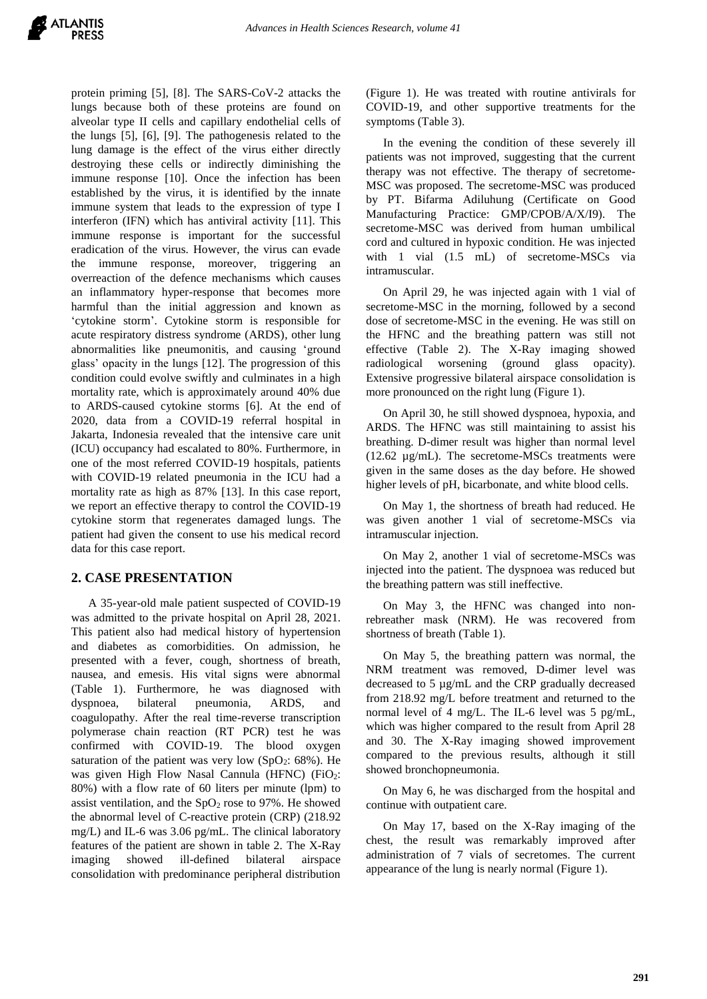protein priming [5], [8]. The SARS-CoV-2 attacks the lungs because both of these proteins are found on alveolar type II cells and capillary endothelial cells of the lungs [5], [6], [9]. The pathogenesis related to the lung damage is the effect of the virus either directly destroying these cells or indirectly diminishing the immune response [10]. Once the infection has been established by the virus, it is identified by the innate immune system that leads to the expression of type I interferon (IFN) which has antiviral activity [11]. This immune response is important for the successful eradication of the virus. However, the virus can evade the immune response, moreover, triggering an overreaction of the defence mechanisms which causes an inflammatory hyper-response that becomes more harmful than the initial aggression and known as 'cytokine storm'. Cytokine storm is responsible for acute respiratory distress syndrome (ARDS), other lung abnormalities like pneumonitis, and causing 'ground glass' opacity in the lungs [12]. The progression of this condition could evolve swiftly and culminates in a high mortality rate, which is approximately around 40% due to ARDS-caused cytokine storms [6]. At the end of 2020, data from a COVID-19 referral hospital in Jakarta, Indonesia revealed that the intensive care unit (ICU) occupancy had escalated to 80%. Furthermore, in one of the most referred COVID-19 hospitals, patients with COVID-19 related pneumonia in the ICU had a mortality rate as high as 87% [13]. In this case report, we report an effective therapy to control the COVID-19 cytokine storm that regenerates damaged lungs. The patient had given the consent to use his medical record data for this case report.

## **2. CASE PRESENTATION**

A 35-year-old male patient suspected of COVID-19 was admitted to the private hospital on April 28, 2021. This patient also had medical history of hypertension and diabetes as comorbidities. On admission, he presented with a fever, cough, shortness of breath, nausea, and emesis. His vital signs were abnormal (Table 1). Furthermore, he was diagnosed with dyspnoea, bilateral pneumonia, ARDS, and coagulopathy. After the real time-reverse transcription polymerase chain reaction (RT PCR) test he was confirmed with COVID-19. The blood oxygen saturation of the patient was very low  $(SpO<sub>2</sub>: 68%)$ . He was given High Flow Nasal Cannula (HFNC) (FiO2: 80%) with a flow rate of 60 liters per minute (lpm) to assist ventilation, and the  $SpO<sub>2</sub>$  rose to 97%. He showed the abnormal level of C-reactive protein (CRP) (218.92 mg/L) and IL-6 was 3.06 pg/mL. The clinical laboratory features of the patient are shown in table 2. The X-Ray imaging showed ill-defined bilateral airspace consolidation with predominance peripheral distribution

(Figure 1). He was treated with routine antivirals for COVID-19, and other supportive treatments for the symptoms (Table 3).

In the evening the condition of these severely ill patients was not improved, suggesting that the current therapy was not effective. The therapy of secretome-MSC was proposed. The secretome-MSC was produced by PT. Bifarma Adiluhung (Certificate on Good Manufacturing Practice: GMP/CPOB/A/X/I9). The secretome-MSC was derived from human umbilical cord and cultured in hypoxic condition. He was injected with 1 vial (1.5 mL) of secretome-MSCs via intramuscular.

On April 29, he was injected again with 1 vial of secretome-MSC in the morning, followed by a second dose of secretome-MSC in the evening. He was still on the HFNC and the breathing pattern was still not effective (Table 2). The X-Ray imaging showed radiological worsening (ground glass opacity). Extensive progressive bilateral airspace consolidation is more pronounced on the right lung (Figure 1).

On April 30, he still showed dyspnoea, hypoxia, and ARDS. The HFNC was still maintaining to assist his breathing. D-dimer result was higher than normal level (12.62 µg/mL). The secretome-MSCs treatments were given in the same doses as the day before. He showed higher levels of pH, bicarbonate, and white blood cells.

On May 1, the shortness of breath had reduced. He was given another 1 vial of secretome-MSCs via intramuscular injection.

On May 2, another 1 vial of secretome-MSCs was injected into the patient. The dyspnoea was reduced but the breathing pattern was still ineffective.

On May 3, the HFNC was changed into nonrebreather mask (NRM). He was recovered from shortness of breath (Table 1).

On May 5, the breathing pattern was normal, the NRM treatment was removed, D-dimer level was decreased to 5 µg/mL and the CRP gradually decreased from 218.92 mg/L before treatment and returned to the normal level of 4 mg/L. The IL-6 level was 5 pg/mL, which was higher compared to the result from April 28 and 30. The X-Ray imaging showed improvement compared to the previous results, although it still showed bronchopneumonia.

On May 6, he was discharged from the hospital and continue with outpatient care.

On May 17, based on the X-Ray imaging of the chest, the result was remarkably improved after administration of 7 vials of secretomes. The current appearance of the lung is nearly normal (Figure 1).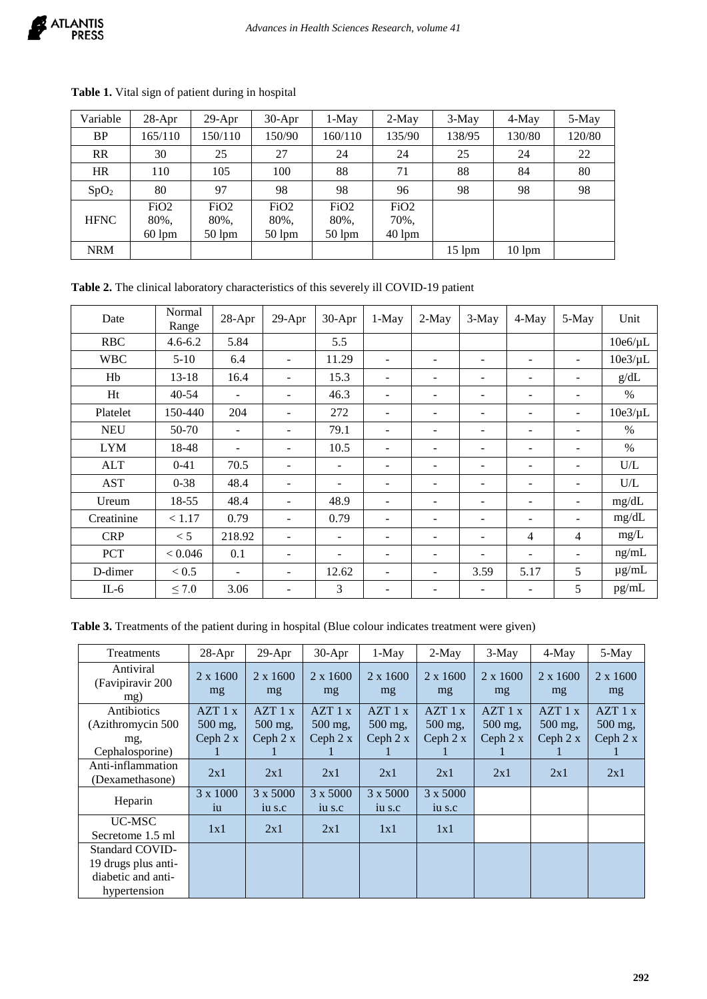| Variable         | $28-Apr$         | $29-Apr$         | $30-Apr$         | $1-May$          | $2-May$          | $3-May$          | 4-May            | 5-May  |
|------------------|------------------|------------------|------------------|------------------|------------------|------------------|------------------|--------|
| <b>BP</b>        | 165/110          | 150/110          | 150/90           | 160/110          | 135/90           | 138/95           | 130/80           | 120/80 |
| <b>RR</b>        | 30               | 25               | 27               | 24               | 24               | 25               | 24               | 22     |
| <b>HR</b>        | 110              | 105              | 100              | 88               | 71               | 88               | 84               | 80     |
| SpO <sub>2</sub> | 80               | 97               | 98               | 98               | 96               | 98               | 98               | 98     |
|                  | FiO <sub>2</sub> | FiO <sub>2</sub> | FiO <sub>2</sub> | FiO <sub>2</sub> | FiO <sub>2</sub> |                  |                  |        |
| <b>HFNC</b>      | 80%,             | 80%,             | 80%,             | 80%,             | 70%,             |                  |                  |        |
|                  | $60 \text{ lpm}$ | $50 \text{ lpm}$ | $50 \text{ lpm}$ | $50 \text{ lpm}$ | $40 \text{ lpm}$ |                  |                  |        |
| <b>NRM</b>       |                  |                  |                  |                  |                  | $15 \text{ lpm}$ | $10 \text{ lpm}$ |        |

**Table 1.** Vital sign of patient during in hospital

| Table 2. The clinical laboratory characteristics of this severely ill COVID-19 patient |  |  |  |
|----------------------------------------------------------------------------------------|--|--|--|
|----------------------------------------------------------------------------------------|--|--|--|

| Date       | Normal<br>Range | 28-Apr                   | 29-Apr                   | 30-Apr                   | $1-May$                  | 2-May                    | 3-May                    | 4-May                    | 5-May                    | Unit         |
|------------|-----------------|--------------------------|--------------------------|--------------------------|--------------------------|--------------------------|--------------------------|--------------------------|--------------------------|--------------|
| <b>RBC</b> | $4.6 - 6.2$     | 5.84                     |                          | 5.5                      |                          |                          |                          |                          |                          | $10e6/\mu L$ |
| <b>WBC</b> | $5 - 10$        | 6.4                      |                          | 11.29                    | $\overline{\phantom{a}}$ | ٠                        | $\overline{\phantom{0}}$ | ۰                        | ٠                        | $10e3/\mu L$ |
| Hb         | $13 - 18$       | 16.4                     | $\overline{\phantom{a}}$ | 15.3                     | $\overline{\phantom{a}}$ | -                        | ۰                        | ۰                        | $\overline{\phantom{a}}$ | g/dL         |
| Ht         | $40 - 54$       | ۰                        |                          | 46.3                     | $\overline{\phantom{a}}$ | $\overline{\phantom{a}}$ | $\overline{\phantom{a}}$ | -                        | $\overline{\phantom{a}}$ | $\%$         |
| Platelet   | 150-440         | 204                      |                          | 272                      | $\overline{\phantom{a}}$ | $\overline{\phantom{a}}$ | $\overline{\phantom{a}}$ | -                        | ٠                        | $10e3/\mu L$ |
| <b>NEU</b> | 50-70           | ٠                        |                          | 79.1                     | $\overline{\phantom{a}}$ | -                        | -                        | ۰                        | -                        | $\%$         |
| <b>LYM</b> | 18-48           | ٠                        | $\overline{\phantom{a}}$ | 10.5                     | $\overline{\phantom{a}}$ | $\overline{\phantom{a}}$ | -                        | -                        | $\overline{\phantom{a}}$ | $\%$         |
| <b>ALT</b> | $0 - 41$        | 70.5                     | $\overline{\phantom{a}}$ | ٠                        | $\overline{\phantom{a}}$ | ٠                        | $\overline{\phantom{a}}$ | $\overline{\phantom{0}}$ | $\blacksquare$           | U/L          |
| <b>AST</b> | $0 - 38$        | 48.4                     |                          | ٠                        | $\overline{\phantom{a}}$ | $\overline{\phantom{a}}$ | $\overline{\phantom{a}}$ | ۰                        | $\overline{\phantom{a}}$ | U/L          |
| Ureum      | 18-55           | 48.4                     | $\overline{\phantom{a}}$ | 48.9                     | $\overline{\phantom{a}}$ | $\overline{\phantom{a}}$ | $\overline{\phantom{a}}$ | -                        | $\overline{\phantom{a}}$ | mg/dL        |
| Creatinine | < 1.17          | 0.79                     | $\overline{\phantom{a}}$ | 0.79                     | $\overline{\phantom{a}}$ | $\overline{\phantom{a}}$ | $\overline{\phantom{a}}$ | -                        | $\overline{\phantom{a}}$ | mg/dL        |
| <b>CRP</b> | < 5             | 218.92                   | $\overline{\phantom{a}}$ | $\overline{\phantom{a}}$ | $\overline{\phantom{a}}$ | $\overline{\phantom{a}}$ | $\overline{\phantom{a}}$ | 4                        | 4                        | $mg/L$       |
| <b>PCT</b> | < 0.046         | 0.1                      | $\overline{\phantom{a}}$ | $\overline{\phantom{a}}$ | $\sim$                   | $\overline{\phantom{a}}$ | $\overline{\phantom{a}}$ | -                        | $\overline{\phantom{a}}$ | ng/mL        |
| D-dimer    | < 0.5           | $\overline{\phantom{a}}$ | $\overline{\phantom{a}}$ | 12.62                    | $\overline{\phantom{a}}$ | ٠                        | 3.59                     | 5.17                     | 5                        | $\mu$ g/mL   |
| $IL-6$     | $\leq 7.0$      | 3.06                     | -                        | 3                        | ۰                        | -                        | -                        | -                        | 5                        | pg/mL        |

**Table 3.** Treatments of the patient during in hospital (Blue colour indicates treatment were given)

| Treatments                                                                          | 28-Apr                         | $29-Apr$                       | $30-Apr$                       | $1-May$                          | $2-May$                        | $3-May$                          | $4-May$                        | 5-May                          |
|-------------------------------------------------------------------------------------|--------------------------------|--------------------------------|--------------------------------|----------------------------------|--------------------------------|----------------------------------|--------------------------------|--------------------------------|
| Antiviral<br>(Favipiravir 200<br>mg)                                                | $2 \times 1600$<br>mg          | 2 x 1600<br>mg                 | $2 \times 1600$<br>mg          | $2 \times 1600$<br>mg            | $2 \times 1600$<br>mg          | $2 \times 1600$<br>mg            | $2 \times 1600$<br>mg          | $2 \times 1600$<br>mg          |
| Antibiotics<br>(Azithromycin 500)<br>mg,<br>Cephalosporine)                         | AZT1x<br>500 mg,<br>Ceph $2 x$ | AZT1x<br>500 mg,<br>Ceph $2 x$ | AZT1x<br>500 mg,<br>Ceph $2 x$ | AZT1x<br>$500$ mg,<br>Ceph $2 x$ | AZT1x<br>500 mg,<br>Ceph $2 x$ | AZT1x<br>$500$ mg.<br>Ceph $2 x$ | AZT1x<br>500 mg,<br>Ceph $2 x$ | AZT1x<br>500 mg,<br>Ceph $2 x$ |
| Anti-inflammation<br>(Dexamethasone)                                                | 2x1                            | 2x1                            | 2x1                            | 2x1                              | 2x1                            | 2x1                              | 2x1                            | 2x1                            |
| Heparin                                                                             | 3 x 1000<br>iu                 | 3 x 5000<br>iu s.c             | 3 x 5000<br>iu s.c             | 3 x 5000<br>iu s.c               | 3 x 5000<br>iu s.c             |                                  |                                |                                |
| UC-MSC<br>Secretome 1.5 ml                                                          | 1x1                            | 2x1                            | 2x1                            | 1x1                              | 1x1                            |                                  |                                |                                |
| <b>Standard COVID-</b><br>19 drugs plus anti-<br>diabetic and anti-<br>hypertension |                                |                                |                                |                                  |                                |                                  |                                |                                |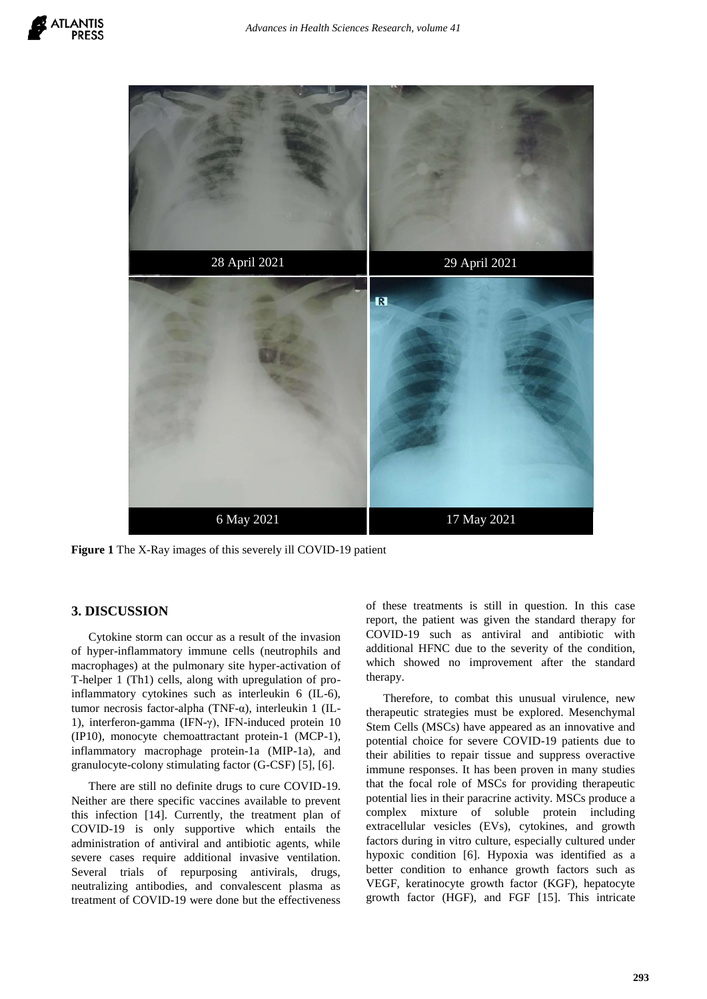

Figure 1 The X-Ray images of this severely ill COVID-19 patient

## **3. DISCUSSION**

Cytokine storm can occur as a result of the invasion of hyper-inflammatory immune cells (neutrophils and macrophages) at the pulmonary site hyper-activation of T-helper 1 (Th1) cells, along with upregulation of proinflammatory cytokines such as interleukin 6 (IL-6), tumor necrosis factor-alpha (TNF-α), interleukin 1 (IL-1), interferon-gamma (IFN-γ), IFN-induced protein 10 (IP10), monocyte chemoattractant protein-1 (MCP-1), inflammatory macrophage protein-1a (MIP-1a), and granulocyte-colony stimulating factor (G-CSF) [5], [6].

There are still no definite drugs to cure COVID-19. Neither are there specific vaccines available to prevent this infection [14]. Currently, the treatment plan of COVID-19 is only supportive which entails the administration of antiviral and antibiotic agents, while severe cases require additional invasive ventilation. Several trials of repurposing antivirals, drugs, neutralizing antibodies, and convalescent plasma as treatment of COVID-19 were done but the effectiveness of these treatments is still in question. In this case report, the patient was given the standard therapy for COVID-19 such as antiviral and antibiotic with additional HFNC due to the severity of the condition, which showed no improvement after the standard therapy.

Therefore, to combat this unusual virulence, new therapeutic strategies must be explored. Mesenchymal Stem Cells (MSCs) have appeared as an innovative and potential choice for severe COVID-19 patients due to their abilities to repair tissue and suppress overactive immune responses. It has been proven in many studies that the focal role of MSCs for providing therapeutic potential lies in their paracrine activity. MSCs produce a complex mixture of soluble protein including extracellular vesicles (EVs), cytokines, and growth factors during in vitro culture, especially cultured under hypoxic condition [6]. Hypoxia was identified as a better condition to enhance growth factors such as VEGF, keratinocyte growth factor (KGF), hepatocyte growth factor (HGF), and FGF [15]. This intricate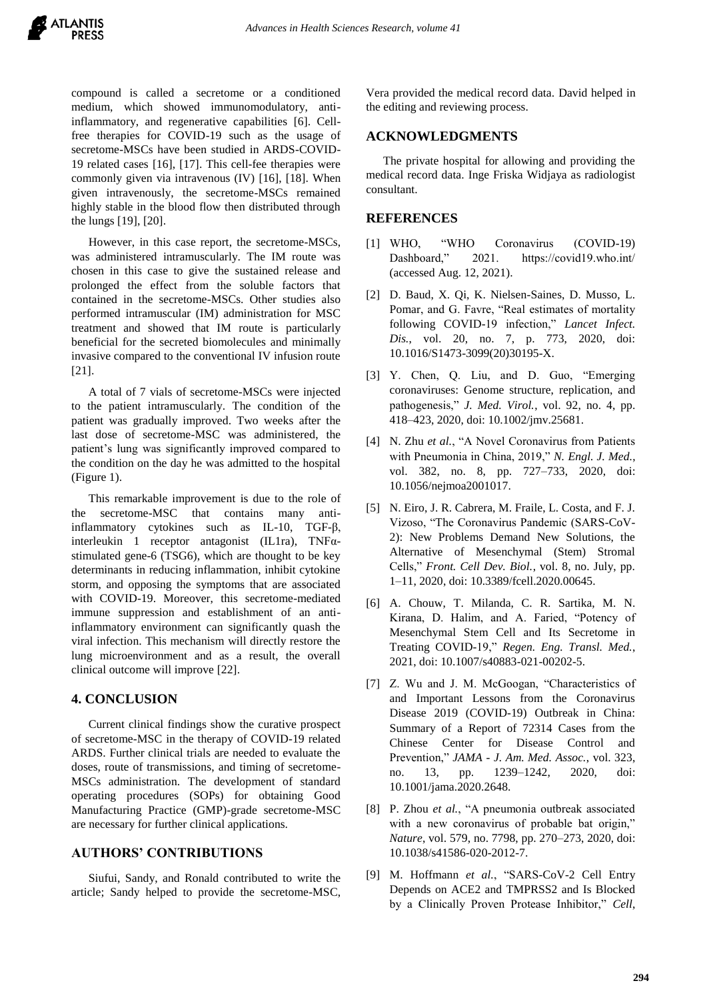compound is called a secretome or a conditioned medium, which showed immunomodulatory, antiinflammatory, and regenerative capabilities [6]. Cellfree therapies for COVID-19 such as the usage of secretome-MSCs have been studied in ARDS-COVID-19 related cases [16], [17]. This cell-fee therapies were commonly given via intravenous (IV) [16], [18]. When given intravenously, the secretome-MSCs remained highly stable in the blood flow then distributed through the lungs [19], [20].

However, in this case report, the secretome-MSCs, was administered intramuscularly. The IM route was chosen in this case to give the sustained release and prolonged the effect from the soluble factors that contained in the secretome-MSCs. Other studies also performed intramuscular (IM) administration for MSC treatment and showed that IM route is particularly beneficial for the secreted biomolecules and minimally invasive compared to the conventional IV infusion route [21].

A total of 7 vials of secretome-MSCs were injected to the patient intramuscularly. The condition of the patient was gradually improved. Two weeks after the last dose of secretome-MSC was administered, the patient's lung was significantly improved compared to the condition on the day he was admitted to the hospital (Figure 1).

This remarkable improvement is due to the role of the secretome-MSC that contains many antiinflammatory cytokines such as IL-10, TGF-β, interleukin 1 receptor antagonist (IL1ra), TNFαstimulated gene-6 (TSG6), which are thought to be key determinants in reducing inflammation, inhibit cytokine storm, and opposing the symptoms that are associated with COVID-19. Moreover, this secretome-mediated immune suppression and establishment of an antiinflammatory environment can significantly quash the viral infection. This mechanism will directly restore the lung microenvironment and as a result, the overall clinical outcome will improve [22].

## **4. CONCLUSION**

Current clinical findings show the curative prospect of secretome-MSC in the therapy of COVID-19 related ARDS. Further clinical trials are needed to evaluate the doses, route of transmissions, and timing of secretome-MSCs administration. The development of standard operating procedures (SOPs) for obtaining Good Manufacturing Practice (GMP)-grade secretome-MSC are necessary for further clinical applications.

## **AUTHORS' CONTRIBUTIONS**

Siufui, Sandy, and Ronald contributed to write the article; Sandy helped to provide the secretome-MSC,

Vera provided the medical record data. David helped in the editing and reviewing process.

### **ACKNOWLEDGMENTS**

The private hospital for allowing and providing the medical record data. Inge Friska Widjaya as radiologist consultant.

### **REFERENCES**

- [1] WHO, "WHO Coronavirus (COVID-19) Dashboard," 2021. https://covid19.who.int/ (accessed Aug. 12, 2021).
- [2] D. Baud, X. Qi, K. Nielsen-Saines, D. Musso, L. Pomar, and G. Favre, "Real estimates of mortality following COVID-19 infection," *Lancet Infect. Dis.*, vol. 20, no. 7, p. 773, 2020, doi: 10.1016/S1473-3099(20)30195-X.
- [3] Y. Chen, Q. Liu, and D. Guo, "Emerging coronaviruses: Genome structure, replication, and pathogenesis," *J. Med. Virol.*, vol. 92, no. 4, pp. 418–423, 2020, doi: 10.1002/jmv.25681.
- [4] N. Zhu *et al.*, "A Novel Coronavirus from Patients with Pneumonia in China, 2019," *N. Engl. J. Med.*, vol. 382, no. 8, pp. 727–733, 2020, doi: 10.1056/nejmoa2001017.
- [5] N. Eiro, J. R. Cabrera, M. Fraile, L. Costa, and F. J. Vizoso, "The Coronavirus Pandemic (SARS-CoV-2): New Problems Demand New Solutions, the Alternative of Mesenchymal (Stem) Stromal Cells," *Front. Cell Dev. Biol.*, vol. 8, no. July, pp. 1–11, 2020, doi: 10.3389/fcell.2020.00645.
- [6] A. Chouw, T. Milanda, C. R. Sartika, M. N. Kirana, D. Halim, and A. Faried, "Potency of Mesenchymal Stem Cell and Its Secretome in Treating COVID-19," *Regen. Eng. Transl. Med.*, 2021, doi: 10.1007/s40883-021-00202-5.
- [7] Z. Wu and J. M. McGoogan, "Characteristics of and Important Lessons from the Coronavirus Disease 2019 (COVID-19) Outbreak in China: Summary of a Report of 72314 Cases from the Chinese Center for Disease Control and Prevention," *JAMA - J. Am. Med. Assoc.*, vol. 323, no. 13, pp. 1239–1242, 2020, doi: 10.1001/jama.2020.2648.
- [8] P. Zhou *et al.*, "A pneumonia outbreak associated with a new coronavirus of probable bat origin," *Nature*, vol. 579, no. 7798, pp. 270–273, 2020, doi: 10.1038/s41586-020-2012-7.
- [9] M. Hoffmann *et al.*, "SARS-CoV-2 Cell Entry Depends on ACE2 and TMPRSS2 and Is Blocked by a Clinically Proven Protease Inhibitor," *Cell*,